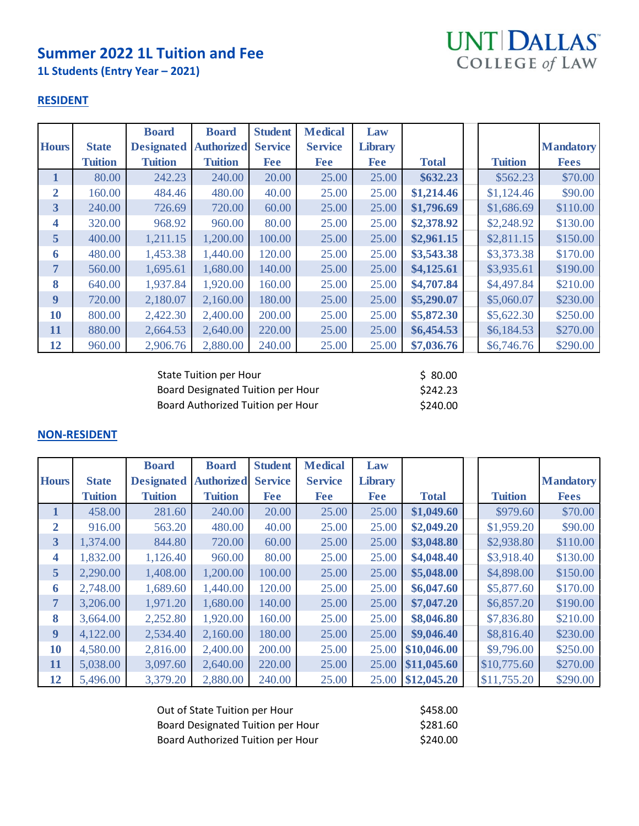# **Summer 2022 1L Tuition and Fee**

**1L Students (Entry Year – 2021)**



#### **RESIDENT**

|                         |                | <b>Board</b>      | <b>Board</b>      | <b>Student</b> | <b>Medical</b> | Law            |              |                |                  |
|-------------------------|----------------|-------------------|-------------------|----------------|----------------|----------------|--------------|----------------|------------------|
| <b>Hours</b>            | <b>State</b>   | <b>Designated</b> | <b>Authorized</b> | <b>Service</b> | <b>Service</b> | <b>Library</b> |              |                | <b>Mandatory</b> |
|                         | <b>Tuition</b> | <b>Tuition</b>    | <b>Tuition</b>    | <b>Fee</b>     | <b>Fee</b>     | <b>Fee</b>     | <b>Total</b> | <b>Tuition</b> | <b>Fees</b>      |
| 1                       | 80.00          | 242.23            | 240.00            | 20.00          | 25.00          | 25.00          | \$632.23     | \$562.23       | \$70.00          |
| $\overline{2}$          | 160.00         | 484.46            | 480.00            | 40.00          | 25.00          | 25.00          | \$1,214.46   | \$1,124.46     | \$90.00          |
| $\overline{\mathbf{3}}$ | 240.00         | 726.69            | 720.00            | 60.00          | 25.00          | 25.00          | \$1,796.69   | \$1,686.69     | \$110.00         |
| 4                       | 320.00         | 968.92            | 960.00            | 80.00          | 25.00          | 25.00          | \$2,378.92   | \$2,248.92     | \$130.00         |
| 5 <sup>5</sup>          | 400.00         | 1,211.15          | 1,200.00          | 100.00         | 25.00          | 25.00          | \$2,961.15   | \$2,811.15     | \$150.00         |
| 6                       | 480.00         | 1,453.38          | 1,440.00          | 120.00         | 25.00          | 25.00          | \$3,543.38   | \$3,373.38     | \$170.00         |
| 7                       | 560.00         | 1,695.61          | 1,680.00          | 140.00         | 25.00          | 25.00          | \$4,125.61   | \$3,935.61     | \$190.00         |
| 8                       | 640.00         | 1,937.84          | 1,920.00          | 160.00         | 25.00          | 25.00          | \$4,707.84   | \$4,497.84     | \$210.00         |
| 9                       | 720.00         | 2,180.07          | 2,160.00          | 180.00         | 25.00          | 25.00          | \$5,290.07   | \$5,060.07     | \$230.00         |
| <b>10</b>               | 800.00         | 2,422.30          | 2,400.00          | 200.00         | 25.00          | 25.00          | \$5,872.30   | \$5,622.30     | \$250.00         |
| 11                      | 880.00         | 2,664.53          | 2,640.00          | 220.00         | 25.00          | 25.00          | \$6,454.53   | \$6,184.53     | \$270.00         |
| 12                      | 960.00         | 2,906.76          | 2,880.00          | 240.00         | 25.00          | 25.00          | \$7,036.76   | \$6,746.76     | \$290.00         |

| State Tuition per Hour            | \$ 80.00 |
|-----------------------------------|----------|
| Board Designated Tuition per Hour | \$242.23 |
| Board Authorized Tuition per Hour | \$240.00 |

|                         |                | <b>Board</b>      | <b>Board</b>      | <b>Student</b> | <b>Medical</b> | Law            |              |                |                  |
|-------------------------|----------------|-------------------|-------------------|----------------|----------------|----------------|--------------|----------------|------------------|
| <b>Hours</b>            | <b>State</b>   | <b>Designated</b> | <b>Authorized</b> | <b>Service</b> | <b>Service</b> | <b>Library</b> |              |                | <b>Mandatory</b> |
|                         | <b>Tuition</b> | <b>Tuition</b>    | <b>Tuition</b>    | <b>Fee</b>     | <b>Fee</b>     | <b>Fee</b>     | <b>Total</b> | <b>Tuition</b> | <b>Fees</b>      |
| $\mathbf{1}$            | 458.00         | 281.60            | 240.00            | 20.00          | 25.00          | 25.00          | \$1,049.60   | \$979.60       | \$70.00          |
| $\overline{2}$          | 916.00         | 563.20            | 480.00            | 40.00          | 25.00          | 25.00          | \$2,049.20   | \$1,959.20     | \$90.00          |
| $\overline{\mathbf{3}}$ | 1,374.00       | 844.80            | 720.00            | 60.00          | 25.00          | 25.00          | \$3,048.80   | \$2,938.80     | \$110.00         |
| 4                       | 1,832.00       | 1,126.40          | 960.00            | 80.00          | 25.00          | 25.00          | \$4,048.40   | \$3,918.40     | \$130.00         |
| 5 <sup>5</sup>          | 2,290.00       | 1,408.00          | 1,200.00          | 100.00         | 25.00          | 25.00          | \$5,048.00   | \$4,898.00     | \$150.00         |
| 6                       | 2,748.00       | 1,689.60          | 1,440.00          | 120.00         | 25.00          | 25.00          | \$6,047.60   | \$5,877.60     | \$170.00         |
| 7                       | 3,206.00       | 1,971.20          | 1,680.00          | 140.00         | 25.00          | 25.00          | \$7,047.20   | \$6,857.20     | \$190.00         |
| 8                       | 3,664.00       | 2,252.80          | 1,920.00          | 160.00         | 25.00          | 25.00          | \$8,046.80   | \$7,836.80     | \$210.00         |
| 9                       | 4,122.00       | 2,534.40          | 2,160.00          | 180.00         | 25.00          | 25.00          | \$9,046.40   | \$8,816.40     | \$230.00         |
| 10                      | 4,580.00       | 2,816.00          | 2,400.00          | 200.00         | 25.00          | 25.00          | \$10,046.00  | \$9,796.00     | \$250.00         |
| 11                      | 5,038.00       | 3,097.60          | 2,640.00          | 220.00         | 25.00          | 25.00          | \$11,045.60  | \$10,775.60    | \$270.00         |
| 12                      | 5,496.00       | 3,379.20          | 2,880.00          | 240.00         | 25.00          | 25.00          | \$12,045.20  | \$11,755.20    | \$290.00         |

| Out of State Tuition per Hour            | \$458.00 |
|------------------------------------------|----------|
| <b>Board Designated Tuition per Hour</b> | \$281.60 |
| Board Authorized Tuition per Hour        | \$240.00 |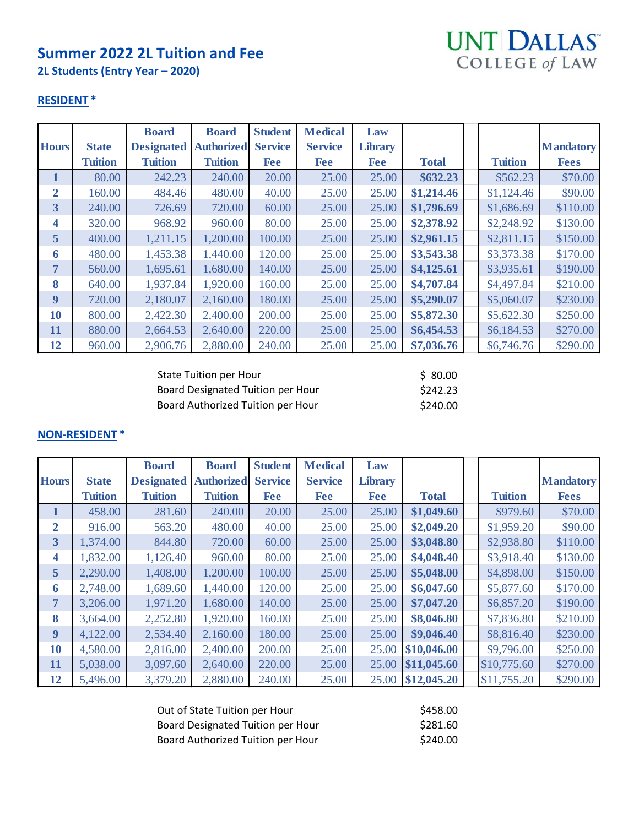# **Summer 2022 2L Tuition and Fee**

**2L Students (Entry Year – 2020)**



#### **RESIDENT \***

|                         |                | <b>Board</b>      | <b>Board</b>      | <b>Student</b> | <b>Medical</b> | Law            |              |                |                  |
|-------------------------|----------------|-------------------|-------------------|----------------|----------------|----------------|--------------|----------------|------------------|
| <b>Hours</b>            | <b>State</b>   | <b>Designated</b> | <b>Authorized</b> | <b>Service</b> | <b>Service</b> | <b>Library</b> |              |                | <b>Mandatory</b> |
|                         | <b>Tuition</b> | <b>Tuition</b>    | <b>Tuition</b>    | <b>Fee</b>     | <b>Fee</b>     | <b>Fee</b>     | <b>Total</b> | <b>Tuition</b> | <b>Fees</b>      |
| 1                       | 80.00          | 242.23            | 240.00            | 20.00          | 25.00          | 25.00          | \$632.23     | \$562.23       | \$70.00          |
| $\overline{2}$          | 160.00         | 484.46            | 480.00            | 40.00          | 25.00          | 25.00          | \$1,214.46   | \$1,124.46     | \$90.00          |
| $\overline{\mathbf{3}}$ | 240.00         | 726.69            | 720.00            | 60.00          | 25.00          | 25.00          | \$1,796.69   | \$1,686.69     | \$110.00         |
| 4                       | 320.00         | 968.92            | 960.00            | 80.00          | 25.00          | 25.00          | \$2,378.92   | \$2,248.92     | \$130.00         |
| 5 <sup>5</sup>          | 400.00         | 1,211.15          | 1,200.00          | 100.00         | 25.00          | 25.00          | \$2,961.15   | \$2,811.15     | \$150.00         |
| 6                       | 480.00         | 1,453.38          | 1,440.00          | 120.00         | 25.00          | 25.00          | \$3,543.38   | \$3,373.38     | \$170.00         |
| $\overline{7}$          | 560.00         | 1,695.61          | 1,680.00          | 140.00         | 25.00          | 25.00          | \$4,125.61   | \$3,935.61     | \$190.00         |
| 8                       | 640.00         | 1,937.84          | 1,920.00          | 160.00         | 25.00          | 25.00          | \$4,707.84   | \$4,497.84     | \$210.00         |
| 9                       | 720.00         | 2,180.07          | 2,160.00          | 180.00         | 25.00          | 25.00          | \$5,290.07   | \$5,060.07     | \$230.00         |
| 10                      | 800.00         | 2,422.30          | 2,400.00          | 200.00         | 25.00          | 25.00          | \$5,872.30   | \$5,622.30     | \$250.00         |
| 11                      | 880.00         | 2,664.53          | 2,640.00          | 220.00         | 25.00          | 25.00          | \$6,454.53   | \$6,184.53     | \$270.00         |
| 12                      | 960.00         | 2,906.76          | 2,880.00          | 240.00         | 25.00          | 25.00          | \$7,036.76   | \$6,746.76     | \$290.00         |

| State Tuition per Hour            | \$ 80.00 |
|-----------------------------------|----------|
| Board Designated Tuition per Hour | \$242.23 |
| Board Authorized Tuition per Hour | \$240.00 |

|                         |                | <b>Board</b>      | <b>Board</b>      | <b>Student</b> | <b>Medical</b> | Law            |                   |                |                  |
|-------------------------|----------------|-------------------|-------------------|----------------|----------------|----------------|-------------------|----------------|------------------|
| <b>Hours</b>            | <b>State</b>   | <b>Designated</b> | <b>Authorized</b> | <b>Service</b> | <b>Service</b> | <b>Library</b> |                   |                | <b>Mandatory</b> |
|                         | <b>Tuition</b> | <b>Tuition</b>    | <b>Tuition</b>    | <b>Fee</b>     | <b>Fee</b>     | <b>Fee</b>     | <b>Total</b>      | <b>Tuition</b> | <b>Fees</b>      |
| 1                       | 458.00         | 281.60            | 240.00            | 20.00          | 25.00          | 25.00          | \$1,049.60        | \$979.60       | \$70.00          |
| $\overline{2}$          | 916.00         | 563.20            | 480.00            | 40.00          | 25.00          | 25.00          | \$2,049.20        | \$1,959.20     | \$90.00          |
| $\overline{\mathbf{3}}$ | 1,374.00       | 844.80            | 720.00            | 60.00          | 25.00          | 25.00          | \$3,048.80        | \$2,938.80     | \$110.00         |
| 4                       | 1,832.00       | 1,126.40          | 960.00            | 80.00          | 25.00          | 25.00          | \$4,048.40        | \$3,918.40     | \$130.00         |
| 5 <sup>5</sup>          | 2,290.00       | 1,408.00          | 1,200.00          | 100.00         | 25.00          | 25.00          | \$5,048.00        | \$4,898.00     | \$150.00         |
| 6                       | 2,748.00       | 1,689.60          | 1,440.00          | 120.00         | 25.00          | 25.00          | \$6,047.60        | \$5,877.60     | \$170.00         |
| $\overline{7}$          | 3,206.00       | 1,971.20          | 1,680.00          | 140.00         | 25.00          | 25.00          | \$7,047.20        | \$6,857.20     | \$190.00         |
| 8                       | 3,664.00       | 2,252.80          | 1,920.00          | 160.00         | 25.00          | 25.00          | \$8,046.80        | \$7,836.80     | \$210.00         |
| 9                       | 4,122.00       | 2,534.40          | 2,160.00          | 180.00         | 25.00          | 25.00          | \$9,046.40        | \$8,816.40     | \$230.00         |
| 10                      | 4,580.00       | 2,816.00          | 2,400.00          | 200.00         | 25.00          | 25.00          | \$10,046.00       | \$9,796.00     | \$250.00         |
| 11                      | 5,038.00       | 3,097.60          | 2,640.00          | 220.00         | 25.00          | 25.00          | \$11,045.60       | \$10,775.60    | \$270.00         |
| 12                      | 5,496.00       | 3,379.20          | 2,880.00          | 240.00         | 25.00          |                | 25.00 \$12,045.20 | \$11,755.20    | \$290.00         |

| Out of State Tuition per Hour            | \$458.00 |
|------------------------------------------|----------|
| <b>Board Designated Tuition per Hour</b> | \$281.60 |
| Board Authorized Tuition per Hour        | \$240.00 |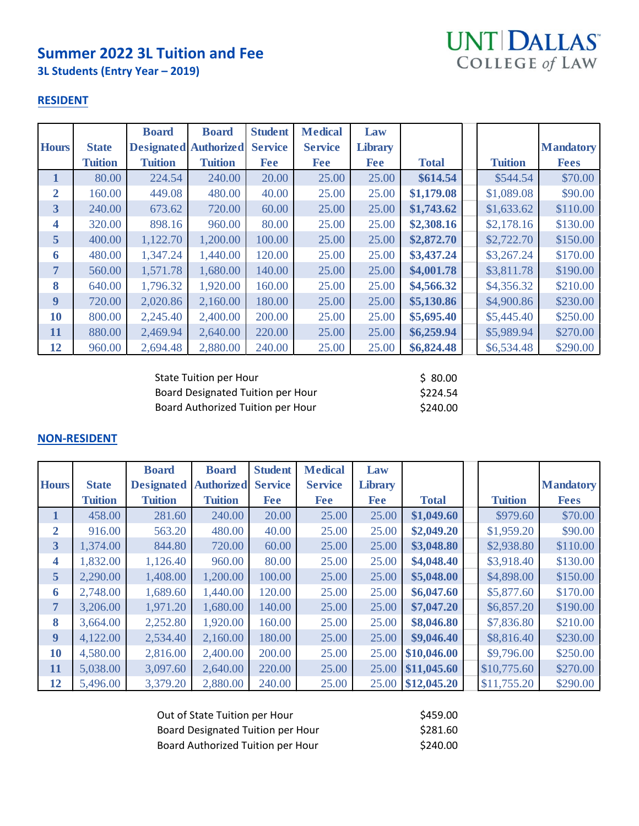## **Summer 2022 3L Tuition and Fee**

**3L Students (Entry Year – 2019)**



#### **RESIDENT**

|                         |                | <b>Board</b>                 | <b>Board</b>   | <b>Student</b> | <b>Medical</b> | Law            |              |                |                  |
|-------------------------|----------------|------------------------------|----------------|----------------|----------------|----------------|--------------|----------------|------------------|
| <b>Hours</b>            | <b>State</b>   | <b>Designated Authorized</b> |                | <b>Service</b> | <b>Service</b> | <b>Library</b> |              |                | <b>Mandatory</b> |
|                         | <b>Tuition</b> | <b>Tuition</b>               | <b>Tuition</b> | <b>Fee</b>     | <b>Fee</b>     | <b>Fee</b>     | <b>Total</b> | <b>Tuition</b> | <b>Fees</b>      |
| 1                       | 80.00          | 224.54                       | 240.00         | 20.00          | 25.00          | 25.00          | \$614.54     | \$544.54       | \$70.00          |
| $\overline{2}$          | 160.00         | 449.08                       | 480.00         | 40.00          | 25.00          | 25.00          | \$1,179.08   | \$1,089.08     | \$90.00          |
| $\overline{\mathbf{3}}$ | 240.00         | 673.62                       | 720.00         | 60.00          | 25.00          | 25.00          | \$1,743.62   | \$1,633.62     | \$110.00         |
| 4                       | 320.00         | 898.16                       | 960.00         | 80.00          | 25.00          | 25.00          | \$2,308.16   | \$2,178.16     | \$130.00         |
| $5\overline{)}$         | 400.00         | 1,122.70                     | 1,200.00       | 100.00         | 25.00          | 25.00          | \$2,872.70   | \$2,722.70     | \$150.00         |
| 6                       | 480.00         | 1,347.24                     | 1,440.00       | 120.00         | 25.00          | 25.00          | \$3,437.24   | \$3,267.24     | \$170.00         |
| 7                       | 560.00         | 1,571.78                     | 1,680.00       | 140.00         | 25.00          | 25.00          | \$4,001.78   | \$3,811.78     | \$190.00         |
| 8                       | 640.00         | 1,796.32                     | 1,920.00       | 160.00         | 25.00          | 25.00          | \$4,566.32   | \$4,356.32     | \$210.00         |
| 9                       | 720.00         | 2,020.86                     | 2,160.00       | 180.00         | 25.00          | 25.00          | \$5,130.86   | \$4,900.86     | \$230.00         |
| 10                      | 800.00         | 2,245.40                     | 2,400.00       | 200.00         | 25.00          | 25.00          | \$5,695.40   | \$5,445.40     | \$250.00         |
| 11                      | 880.00         | 2,469.94                     | 2,640.00       | 220.00         | 25.00          | 25.00          | \$6,259.94   | \$5,989.94     | \$270.00         |
| 12                      | 960.00         | 2,694.48                     | 2,880.00       | 240.00         | 25.00          | 25.00          | \$6,824.48   | \$6,534.48     | \$290.00         |

| State Tuition per Hour                   | \$ 80.00 |
|------------------------------------------|----------|
| <b>Board Designated Tuition per Hour</b> | \$224.54 |
| Board Authorized Tuition per Hour        | \$240.00 |

|                |                | <b>Board</b>      | <b>Board</b>      | <b>Student</b> | <b>Medical</b> | Law            |                   |                |                  |
|----------------|----------------|-------------------|-------------------|----------------|----------------|----------------|-------------------|----------------|------------------|
| <b>Hours</b>   | <b>State</b>   | <b>Designated</b> | <b>Authorized</b> | <b>Service</b> | <b>Service</b> | <b>Library</b> |                   |                | <b>Mandatory</b> |
|                | <b>Tuition</b> | <b>Tuition</b>    | <b>Tuition</b>    | <b>Fee</b>     | <b>Fee</b>     | <b>Fee</b>     | <b>Total</b>      | <b>Tuition</b> | <b>Fees</b>      |
| $\mathbf{1}$   | 458.00         | 281.60            | 240.00            | 20.00          | 25.00          | 25.00          | \$1,049.60        | \$979.60       | \$70.00          |
| $\overline{2}$ | 916.00         | 563.20            | 480.00            | 40.00          | 25.00          | 25.00          | \$2,049.20        | \$1,959.20     | \$90.00          |
| 3              | 1,374.00       | 844.80            | 720.00            | 60.00          | 25.00          | 25.00          | \$3,048.80        | \$2,938.80     | \$110.00         |
| 4              | 1,832.00       | 1,126.40          | 960.00            | 80.00          | 25.00          | 25.00          | \$4,048.40        | \$3,918.40     | \$130.00         |
| 5 <sup>5</sup> | 2,290.00       | 1,408.00          | 1,200.00          | 100.00         | 25.00          | 25.00          | \$5,048.00        | \$4,898.00     | \$150.00         |
| 6              | 2,748.00       | 1,689.60          | 1,440.00          | 120.00         | 25.00          | 25.00          | \$6,047.60        | \$5,877.60     | \$170.00         |
| 7              | 3,206.00       | 1,971.20          | 1,680.00          | 140.00         | 25.00          | 25.00          | \$7,047.20        | \$6,857.20     | \$190.00         |
| 8              | 3,664.00       | 2,252.80          | 1,920.00          | 160.00         | 25.00          | 25.00          | \$8,046.80        | \$7,836.80     | \$210.00         |
| 9              | 4,122.00       | 2,534.40          | 2,160.00          | 180.00         | 25.00          | 25.00          | \$9,046.40        | \$8,816.40     | \$230.00         |
| 10             | 4,580.00       | 2,816.00          | 2,400.00          | 200.00         | 25.00          | 25.00          | \$10,046.00       | \$9,796.00     | \$250.00         |
| 11             | 5,038.00       | 3,097.60          | 2,640.00          | 220.00         | 25.00          | 25.00          | \$11,045.60       | \$10,775.60    | \$270.00         |
| 12             | 5,496.00       | 3,379.20          | 2,880.00          | 240.00         | 25.00          |                | 25.00 \$12,045.20 | \$11,755.20    | \$290.00         |

| Out of State Tuition per Hour     | \$459.00 |
|-----------------------------------|----------|
| Board Designated Tuition per Hour | \$281.60 |
| Board Authorized Tuition per Hour | \$240.00 |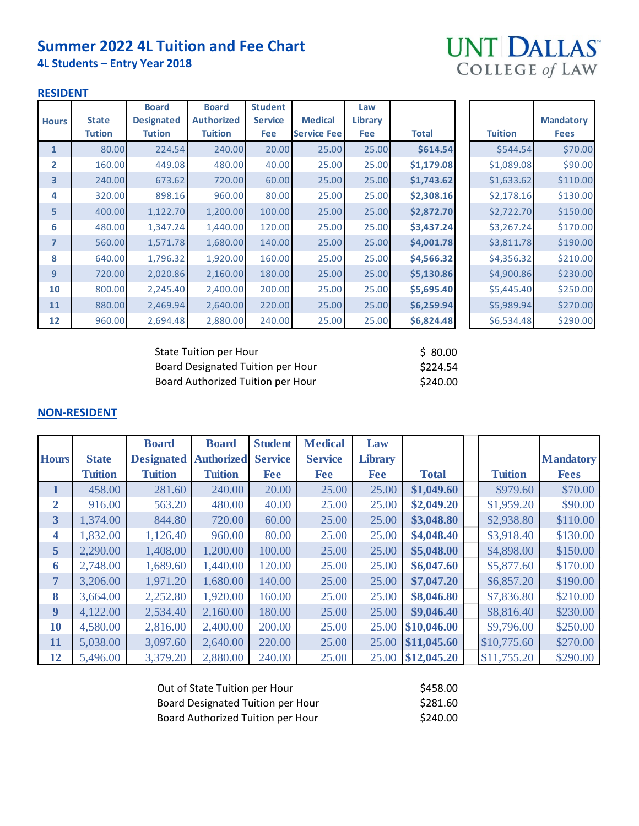## **Summer 2022 4L Tuition and Fee Chart**

**4L Students – Entry Year 2018**



#### **RESIDENT**

|                |               | <b>Board</b>      | <b>Board</b>      | <b>Student</b> |                    | Law        |            |                |                  |
|----------------|---------------|-------------------|-------------------|----------------|--------------------|------------|------------|----------------|------------------|
| <b>Hours</b>   | <b>State</b>  | <b>Designated</b> | <b>Authorized</b> | <b>Service</b> | <b>Medical</b>     | Library    |            |                | <b>Mandatory</b> |
|                | <b>Tution</b> | <b>Tution</b>     | <b>Tuition</b>    | Fee            | <b>Service Fee</b> | <b>Fee</b> | Total      | <b>Tuition</b> | <b>Fees</b>      |
| $\mathbf{1}$   | 80.00         | 224.54            | 240.00            | 20.00          | 25.00              | 25.00      | \$614.54   | \$544.54       | \$70.00          |
| $\overline{2}$ | 160.00        | 449.08            | 480.00            | 40.00          | 25.00              | 25.00      | \$1,179.08 | \$1,089.08     | \$90.00          |
| 3              | 240.00        | 673.62            | 720.00            | 60.00          | 25.00              | 25.00      | \$1,743.62 | \$1,633.62     | \$110.00         |
| 4              | 320.00        | 898.16            | 960.00            | 80.00          | 25.00              | 25.00      | \$2,308.16 | \$2,178.16     | \$130.00         |
| 5              | 400.00        | 1,122.70          | 1,200.00          | 100.00         | 25.00              | 25.00      | \$2,872.70 | \$2,722.70     | \$150.00         |
| 6              | 480.00        | 1,347.24          | 1,440.00          | 120.00         | 25.00              | 25.00      | \$3,437.24 | \$3,267.24     | \$170.00         |
| 7              | 560.00        | 1,571.78          | 1,680.00          | 140.00         | 25.00              | 25.00      | \$4,001.78 | \$3,811.78     | \$190.00         |
| 8              | 640.00        | 1,796.32          | 1,920.00          | 160.00         | 25.00              | 25.00      | \$4,566.32 | \$4,356.32     | \$210.00         |
| 9              | 720.00        | 2,020.86          | 2,160.00          | 180.00         | 25.00              | 25.00      | \$5,130.86 | \$4,900.86     | \$230.00         |
| 10             | 800.00        | 2,245.40          | 2,400.00          | 200.00         | 25.00              | 25.00      | \$5,695.40 | \$5,445.40     | \$250.00         |
| 11             | 880.00        | 2,469.94          | 2,640.00          | 220.00         | 25.00              | 25.00      | \$6,259.94 | \$5,989.94     | \$270.00         |
| 12             | 960.00        | 2,694.48          | 2,880.00          | 240.00         | 25.00              | 25.00      | \$6,824.48 | \$6,534.48     | \$290.00         |

| State Tuition per Hour            | \$ 80.00 |
|-----------------------------------|----------|
| Board Designated Tuition per Hour | \$224.54 |
| Board Authorized Tuition per Hour | \$240.00 |

|                |                | <b>Board</b>      | <b>Board</b>      | <b>Student</b> | <b>Medical</b> | Law            |              |                |                  |
|----------------|----------------|-------------------|-------------------|----------------|----------------|----------------|--------------|----------------|------------------|
| <b>Hours</b>   | <b>State</b>   | <b>Designated</b> | <b>Authorized</b> | <b>Service</b> | <b>Service</b> | <b>Library</b> |              |                | <b>Mandatory</b> |
|                | <b>Tuition</b> | <b>Tuition</b>    | <b>Tuition</b>    | Fee            | <b>Fee</b>     | <b>Fee</b>     | <b>Total</b> | <b>Tuition</b> | <b>Fees</b>      |
| 1              | 458.00         | 281.60            | 240.00            | 20.00          | 25.00          | 25.00          | \$1,049.60   | \$979.60       | \$70.00          |
| $\overline{2}$ | 916.00         | 563.20            | 480.00            | 40.00          | 25.00          | 25.00          | \$2,049.20   | \$1,959.20     | \$90.00          |
| 3              | 1,374.00       | 844.80            | 720.00            | 60.00          | 25.00          | 25.00          | \$3,048.80   | \$2,938.80     | \$110.00         |
| 4              | 1,832.00       | 1,126.40          | 960.00            | 80.00          | 25.00          | 25.00          | \$4,048.40   | \$3,918.40     | \$130.00         |
| 5              | 2,290.00       | 1,408.00          | 1,200.00          | 100.00         | 25.00          | 25.00          | \$5,048.00   | \$4,898.00     | \$150.00         |
| 6              | 2,748.00       | 1,689.60          | 1,440.00          | 120.00         | 25.00          | 25.00          | \$6,047.60   | \$5,877.60     | \$170.00         |
| 7              | 3,206.00       | 1,971.20          | 1,680.00          | 140.00         | 25.00          | 25.00          | \$7,047.20   | \$6,857.20     | \$190.00         |
| 8              | 3,664.00       | 2,252.80          | 1,920.00          | 160.00         | 25.00          | 25.00          | \$8,046.80   | \$7,836.80     | \$210.00         |
| 9              | 4,122.00       | 2,534.40          | 2,160.00          | 180.00         | 25.00          | 25.00          | \$9,046.40   | \$8,816.40     | \$230.00         |
| 10             | 4,580.00       | 2,816.00          | 2,400.00          | 200.00         | 25.00          | 25.00          | \$10,046.00  | \$9,796.00     | \$250.00         |
| 11             | 5,038.00       | 3,097.60          | 2,640.00          | 220.00         | 25.00          | 25.00          | \$11,045.60  | \$10,775.60    | \$270.00         |
| 12             | 5,496.00       | 3,379.20          | 2,880.00          | 240.00         | 25.00          | 25.00          | \$12,045.20  | \$11,755.20    | \$290.00         |

| Out of State Tuition per Hour     | \$458.00 |
|-----------------------------------|----------|
| Board Designated Tuition per Hour | \$281.60 |
| Board Authorized Tuition per Hour | \$240.00 |